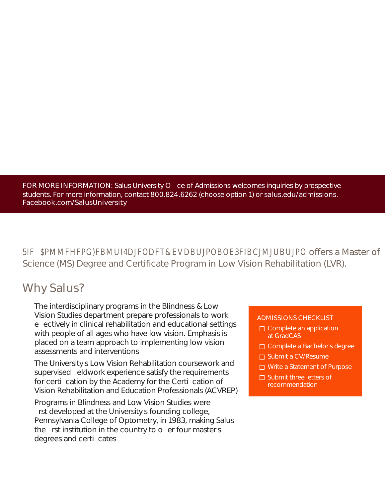FOR MORE INFORMATION: Salus University O ce of Admissions welcomes inquiries by prospective students. For more information, contact 800.824.6262 (choose option 1) or salus.edu/admissions. Facebook.com/SalusUniversity

**F** BMMFHFPGBMUI4DFODFT&VDBUPOBOEBIBCMUBUPO offers a Master of Science (MS) Degree and Certificate Program in Low Vision Rehabilitation (LVR).

# Why Salus?

The interdisciplinary programs in the Blindness & Low Vision Studies department prepare professionals to work e ectively in clinical rehabilitation and educational settings with people of all ages who have low vision. Emphasis is placed on a team approach to implementing low vision assessments and interventions

The Universitys Low Vision Rehabilitation coursework and supervised eldwork experience satisfy the requirements for certication by the Academy for the Certication of Vision Rehabilitation and Education Professionals (ACVREP)

Programs in Blindness and Low Vision Studies were rst developed at the University s founding college, Pennsylvania College of Optometry, in 1983, making Salus the rst institution in the country to  $o$  er four masters degrees and certi cates

#### ADMISSIONS CHECKLIST

- $\square$  Complete an application at GradCAS
- □ Complete a Bachelor s degree
- □ Submit a CV/Resume
- □ Write a Statement of Purpose
- $\square$  Submit three letters of recommendation